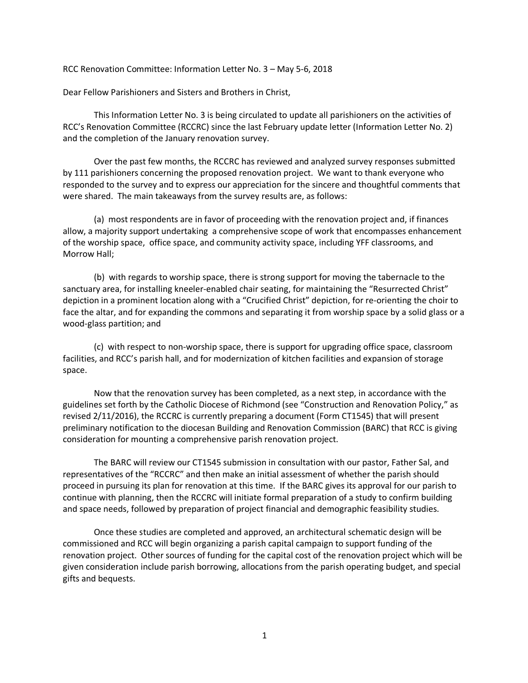RCC Renovation Committee: Information Letter No. 3 – May 5-6, 2018

Dear Fellow Parishioners and Sisters and Brothers in Christ,

This Information Letter No. 3 is being circulated to update all parishioners on the activities of RCC's Renovation Committee (RCCRC) since the last February update letter (Information Letter No. 2) and the completion of the January renovation survey.

Over the past few months, the RCCRC has reviewed and analyzed survey responses submitted by 111 parishioners concerning the proposed renovation project. We want to thank everyone who responded to the survey and to express our appreciation for the sincere and thoughtful comments that were shared. The main takeaways from the survey results are, as follows:

(a) most respondents are in favor of proceeding with the renovation project and, if finances allow, a majority support undertaking a comprehensive scope of work that encompasses enhancement of the worship space, office space, and community activity space, including YFF classrooms, and Morrow Hall;

(b) with regards to worship space, there is strong support for moving the tabernacle to the sanctuary area, for installing kneeler-enabled chair seating, for maintaining the "Resurrected Christ" depiction in a prominent location along with a "Crucified Christ" depiction, for re-orienting the choir to face the altar, and for expanding the commons and separating it from worship space by a solid glass or a wood-glass partition; and

(c) with respect to non-worship space, there is support for upgrading office space, classroom facilities, and RCC's parish hall, and for modernization of kitchen facilities and expansion of storage space.

Now that the renovation survey has been completed, as a next step, in accordance with the guidelines set forth by the Catholic Diocese of Richmond (see "Construction and Renovation Policy," as revised 2/11/2016), the RCCRC is currently preparing a document (Form CT1545) that will present preliminary notification to the diocesan Building and Renovation Commission (BARC) that RCC is giving consideration for mounting a comprehensive parish renovation project.

The BARC will review our CT1545 submission in consultation with our pastor, Father Sal, and representatives of the "RCCRC" and then make an initial assessment of whether the parish should proceed in pursuing its plan for renovation at this time. If the BARC gives its approval for our parish to continue with planning, then the RCCRC will initiate formal preparation of a study to confirm building and space needs, followed by preparation of project financial and demographic feasibility studies.

Once these studies are completed and approved, an architectural schematic design will be commissioned and RCC will begin organizing a parish capital campaign to support funding of the renovation project. Other sources of funding for the capital cost of the renovation project which will be given consideration include parish borrowing, allocations from the parish operating budget, and special gifts and bequests.